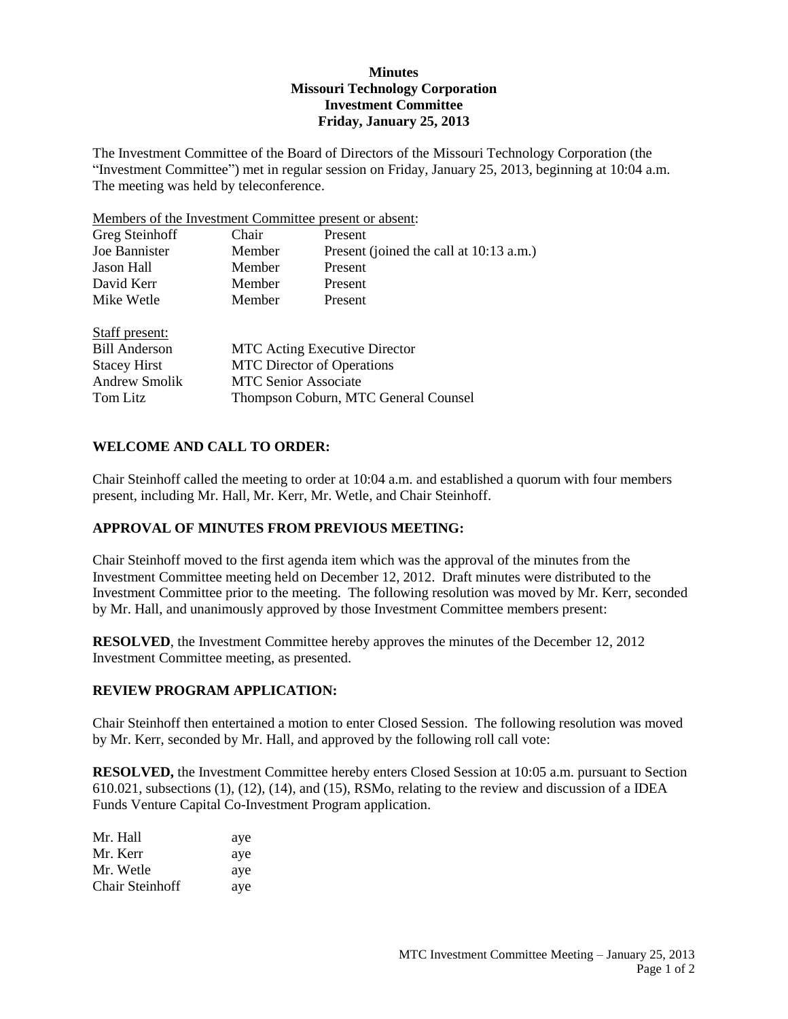## **Minutes Missouri Technology Corporation Investment Committee Friday, January 25, 2013**

The Investment Committee of the Board of Directors of the Missouri Technology Corporation (the "Investment Committee") met in regular session on Friday, January 25, 2013, beginning at 10:04 a.m. The meeting was held by teleconference.

Members of the Investment Committee present or absent:

| Greg Steinhoff       | Chair                                | Present                                 |  |
|----------------------|--------------------------------------|-----------------------------------------|--|
| Joe Bannister        | Member                               | Present (joined the call at 10:13 a.m.) |  |
| Jason Hall           | Member                               | Present                                 |  |
| David Kerr           | Member                               | Present                                 |  |
| Mike Wetle           | Member                               | Present                                 |  |
| Staff present:       |                                      |                                         |  |
| <b>Bill Anderson</b> | <b>MTC</b> Acting Executive Director |                                         |  |
| <b>Stacey Hirst</b>  | <b>MTC</b> Director of Operations    |                                         |  |
| Andrew Smolik        | <b>MTC Senior Associate</b>          |                                         |  |
| Tom Litz             | Thompson Coburn, MTC General Counsel |                                         |  |

# **WELCOME AND CALL TO ORDER:**

Chair Steinhoff called the meeting to order at 10:04 a.m. and established a quorum with four members present, including Mr. Hall, Mr. Kerr, Mr. Wetle, and Chair Steinhoff.

## **APPROVAL OF MINUTES FROM PREVIOUS MEETING:**

Chair Steinhoff moved to the first agenda item which was the approval of the minutes from the Investment Committee meeting held on December 12, 2012. Draft minutes were distributed to the Investment Committee prior to the meeting. The following resolution was moved by Mr. Kerr, seconded by Mr. Hall, and unanimously approved by those Investment Committee members present:

**RESOLVED**, the Investment Committee hereby approves the minutes of the December 12, 2012 Investment Committee meeting, as presented.

## **REVIEW PROGRAM APPLICATION:**

Chair Steinhoff then entertained a motion to enter Closed Session. The following resolution was moved by Mr. Kerr, seconded by Mr. Hall, and approved by the following roll call vote:

**RESOLVED,** the Investment Committee hereby enters Closed Session at 10:05 a.m. pursuant to Section 610.021, subsections (1), (12), (14), and (15), RSMo, relating to the review and discussion of a IDEA Funds Venture Capital Co-Investment Program application.

| Mr. Hall               | aye |
|------------------------|-----|
| Mr. Kerr               | aye |
| Mr. Wetle              | aye |
| <b>Chair Steinhoff</b> | aye |